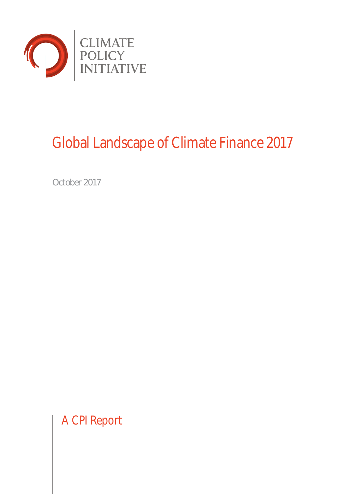

### Global Landscape of Climate Finance 2017

October 2017

A CPI Report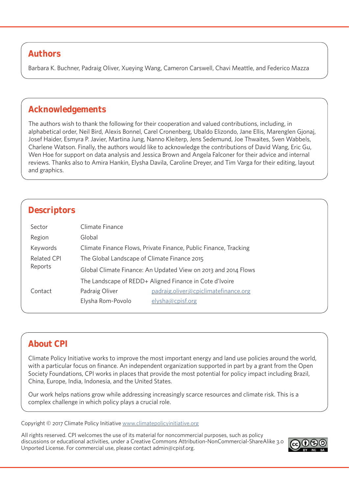### **Authors**

Barbara K. Buchner, Padraig Oliver, Xueying Wang, Cameron Carswell, Chavi Meattle, and Federico Mazza

### **Acknowledgements**

The authors wish to thank the following for their cooperation and valued contributions, including, in alphabetical order, Neil Bird, Alexis Bonnel, Carel Cronenberg, Ubaldo Elizondo, Jane Ellis, Marenglen Gjonaj, Josef Haider, Esmyra P. Javier, Martina Jung, Nanno Kleiterp, Jens Sedemund, Joe Thwaites, Sven Wabbels, Charlene Watson. Finally, the authors would like to acknowledge the contributions of David Wang, Eric Gu, Wen Hoe for support on data analysis and Jessica Brown and Angela Falconer for their advice and internal reviews. Thanks also to Amira Hankin, Elysha Davila, Caroline Dreyer, and Tim Varga for their editing, layout and graphics.

### **Descriptors**

| Sector                 | Climate Finance                                                  |                                      |
|------------------------|------------------------------------------------------------------|--------------------------------------|
| Region                 | Global                                                           |                                      |
| Keywords               | Climate Finance Flows, Private Finance, Public Finance, Tracking |                                      |
| Related CPI<br>Reports | The Global Landscape of Climate Finance 2015                     |                                      |
|                        | Global Climate Finance: An Updated View on 2013 and 2014 Flows   |                                      |
|                        | The Landscape of REDD+ Aligned Finance in Cote d'Ivoire          |                                      |
| Contact                | Padraig Oliver                                                   | padraig.oliver@cpiclimatefinance.org |
|                        | Elysha Rom-Povolo                                                | elysha@cpisf.org                     |

### **About CPI**

Climate Policy Initiative works to improve the most important energy and land use policies around the world, with a particular focus on finance. An independent organization supported in part by a grant from the Open Society Foundations, CPI works in places that provide the most potential for policy impact including Brazil, China, Europe, India, Indonesia, and the United States.

Our work helps nations grow while addressing increasingly scarce resources and climate risk. This is a complex challenge in which policy plays a crucial role.

Copyright © 2017 Climate Policy Initiative www.climatepolicyinitiative.org

All rights reserved. CPI welcomes the use of its material for noncommercial purposes, such as policy discussions or educational activities, under a Creative Commons Attribution-NonCommercial-ShareAlike 3.0 Unported License. For commercial use, please contact admin@cpisf.org.

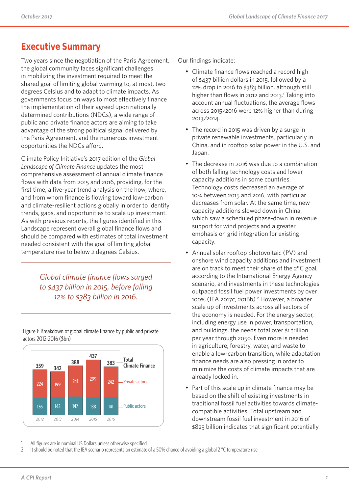### **Executive Summary**

Two years since the negotiation of the Paris Agreement, the global community faces significant challenges in mobilizing the investment required to meet the shared goal of limiting global warming to, at most, two degrees Celsius and to adapt to climate impacts. As governments focus on ways to most effectively finance the implementation of their agreed upon nationally determined contributions (NDCs), a wide range of public and private finance actors are aiming to take advantage of the strong political signal delivered by the Paris Agreement, and the numerous investment opportunities the NDCs afford.

Climate Policy Initiative's 2017 edition of the *Global Landscape of Climate Finance* updates the most comprehensive assessment of annual climate finance flows with data from 2015 and 2016, providing, for the first time, a five-year trend analysis on the how, where, and from whom finance is flowing toward low-carbon and climate-resilient actions globally in order to identify trends, gaps, and opportunities to scale up investment. As with previous reports, the figures identified in this Landscape represent overall global finance flows and should be compared with estimates of total investment needed consistent with the goal of limiting global temperature rise to below 2 degrees Celsius.

> *Global climate finance flows surged to \$437 billion in 2015, before falling 12% to \$383 billion in 2016.*

Figure 1: Breakdown of global climate finance by public and private actors 2012-2016 (\$bn)



Our findings indicate:

- Climate finance flows reached a record high of \$437 billion dollars in 2015, followed by a 12% drop in 2016 to \$383 billion, although still higher than flows in 2012 and 2013.<sup>1</sup> Taking into account annual fluctuations, the average flows across 2015/2016 were 12% higher than during 2013/2014.
- The record in 2015 was driven by a surge in private renewable investments, particularly in China, and in rooftop solar power in the U.S. and Japan.
- The decrease in 2016 was due to a combination of both falling technology costs and lower capacity additions in some countries. Technology costs decreased an average of 10% between 2015 and 2016, with particular decreases from solar. At the same time, new capacity additions slowed down in China, which saw a scheduled phase-down in revenue support for wind projects and a greater emphasis on grid integration for existing capacity.
- Annual solar rooftop photovoltaic (PV) and onshore wind capacity additions and investment are on track to meet their share of the 2°C goal, according to the International Energy Agency scenario, and investments in these technologies outpaced fossil fuel power investments by over 100% (IEA 2017c, 2016b).2 However, a broader scale up of investments across all sectors of the economy is needed. For the energy sector, including energy use in power, transportation, and buildings, the needs total over \$1 trillion per year through 2050. Even more is needed in agriculture, forestry, water, and waste to enable a low-carbon transition, while adaptation finance needs are also pressing in order to minimize the costs of climate impacts that are already locked in.
- Part of this scale up in climate finance may be based on the shift of existing investments in traditional fossil fuel activities towards climatecompatible activities. Total upstream and downstream fossil fuel investment in 2016 of \$825 billion indicates that significant potentially

All figures are in nominal US Dollars unless otherwise specified

<sup>2</sup> It should be noted that the IEA scenario represents an estimate of a 50% chance of avoiding a global 2 °C temperature rise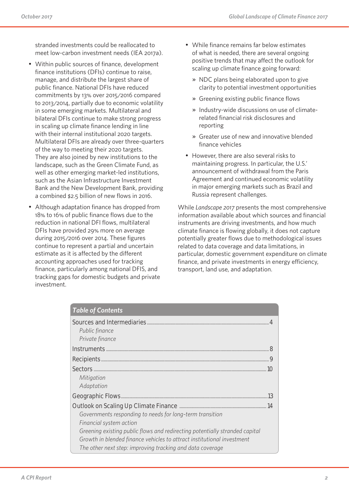stranded investments could be reallocated to meet low-carbon investment needs (IEA 2017a).

- Within public sources of finance, development finance institutions (DFIs) continue to raise, manage, and distribute the largest share of public finance. National DFIs have reduced commitments by 13% over 2015/2016 compared to 2013/2014, partially due to economic volatility in some emerging markets. Multilateral and bilateral DFIs continue to make strong progress in scaling up climate finance lending in line with their internal institutional 2020 targets. Multilateral DFIs are already over three-quarters of the way to meeting their 2020 targets. They are also joined by new institutions to the landscape, such as the Green Climate Fund, as well as other emerging market-led institutions, such as the Asian Infrastructure Investment Bank and the New Development Bank, providing a combined \$2.5 billion of new flows in 2016.
- Although adaptation finance has dropped from 18% to 16% of public finance flows due to the reduction in national DFI flows, multilateral DFIs have provided 29% more on average during 2015/2016 over 2014. These figures continue to represent a partial and uncertain estimate as it is affected by the different accounting approaches used for tracking finance, particularly among national DFIS, and tracking gaps for domestic budgets and private investment.
- While finance remains far below estimates of what is needed, there are several ongoing positive trends that may affect the outlook for scaling up climate finance going forward:
	- » NDC plans being elaborated upon to give clarity to potential investment opportunities
	- » Greening existing public finance flows
	- » Industry-wide discussions on use of climaterelated financial risk disclosures and reporting
	- » Greater use of new and innovative blended finance vehicles
- However, there are also several risks to maintaining progress. In particular, the U.S.' announcement of withdrawal from the Paris Agreement and continued economic volatility in major emerging markets such as Brazil and Russia represent challenges.

While *Landscape 2017* presents the most comprehensive information available about which sources and financial instruments are driving investments, and how much climate finance is flowing globally, it does not capture potentially greater flows due to methodological issues related to data coverage and data limitations, in particular, domestic government expenditure on climate finance, and private investments in energy efficiency, transport, land use, and adaptation.

| <b>Table of Contents</b>                                                                                                                                                                                                                                                                                                                           |    |
|----------------------------------------------------------------------------------------------------------------------------------------------------------------------------------------------------------------------------------------------------------------------------------------------------------------------------------------------------|----|
| Sources and Intermediaries<br>Public finance<br>Private finance                                                                                                                                                                                                                                                                                    | 4  |
| Instruments                                                                                                                                                                                                                                                                                                                                        | 8  |
| Recipients.                                                                                                                                                                                                                                                                                                                                        | 9  |
| <b>Sectors</b><br>Mitigation<br>Adaptation                                                                                                                                                                                                                                                                                                         | 10 |
| Geographic Flows                                                                                                                                                                                                                                                                                                                                   | 13 |
| Outlook on Scaling Up Climate Finance<br>Governments responding to needs for long-term transition<br>Financial system action<br>Greening existing public flows and redirecting potentially stranded capital<br>Growth in blended finance vehicles to attract institutional investment<br>The other next step: improving tracking and data coverage | 14 |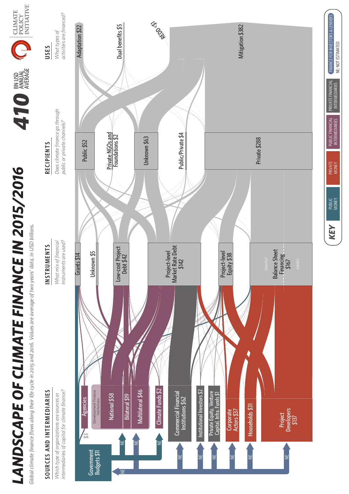# *LANDSCAPE OF CLIMATE FINANCE IN 2015/2016* BN USD ANNUAL AVERAGE *410* LANDSCAPE OF CLIMATE FINANCE IN 2015/2016

Global climate finance flows along their life cycle in 2015 and 2016. Values are average of two years' data, in USD billions. *Global climate finance flows along their life cycle in 2015 and 2016. Values are average of two years' data, in USD billions.*

## SOURCES AND INTERMEDIARIES **SOURCES AND INTERMEDIARIES**

intermediaries of capital for climate finance? *intermediaries of capital for climate finance?* Which type of organizations are sources or *Which type of organizations are sources or* 

### **INSTRUMENTS**

instruments are used? What mix of financial *What mix of financial instruments are used?*

# **INSTRUMENTS USES RECIPIENTS RECIPIENTS**

Does climate finance go through *Does climate finance go through*  public or private channels? *public or private channels?*

### activities are financed? *activities are financed?* What types of *What types of*  **USES**

CLINATE<br>POLICY<br>INITIATIVE

**410 ANUAL** 



PUBLIC<br>MONEY

KEY

PRIVATE<br>MONEY

PUBLIC FINANCIAL INTERMEDIARIES

*KEY* FINANCE FOR INVESTORS & LENDERS

PUBLIC FINANCIAL<br>INTERMEDIARIES

PRIVATE FINANCIAL

**RIVATE FINANCIAL INTERMEDIARIES** 

FINANCE FOR INVESTORS & LENDERS

INTERMEDIARIES NE: NOT ESTIMATED

NE: NOT ESTIMATED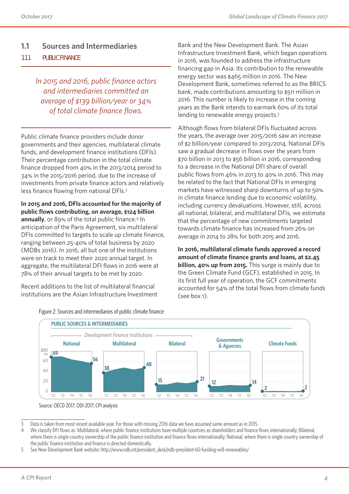### **1.1 Sources and Intermediaries**

### **1.1.1 PUBLIC FINANCE**

*In 2015 and 2016, public finance actors and intermediaries committed an average of \$139 billion/year or 34% of total climate finance flows.*

Public climate finance providers include donor governments and their agencies, multilateral climate funds, and development finance institutions (DFIs). Their percentage contribution in the total climate finance dropped from 40% in the 2013/2014 period to 34% in the 2015/2016 period, due to the increase of investments from private finance actors and relatively less finance flowing from national DFIs.3

**In 2015 and 2016, DFIs accounted for the majority of public flows contributing, on average, \$124 billion**  annually, or 89% of the total public finance.<sup>4</sup> In anticipation of the Paris Agreement, six multilateral DFIs committed to targets to scale up climate finance, ranging between 25-40% of total business by 2020 (MDBs 2016). In 2016, all but one of the institutions were on track to meet their 2020 annual target. In aggregate, the multilateral DFI flows in 2016 were at 78% of their annual targets to be met by 2020.

Recent additions to the list of multilateral financial institutions are the Asian Infrastructure Investment Bank and the New Development Bank. The Asian Infrastructure Investment Bank, which began operations in 2016, was founded to address the infrastructure financing gap in Asia. Its contribution to the renewable energy sector was \$465 million in 2016. The New Development Bank, sometimes referred to as the BRICS bank, made contributions amounting to \$511 million in 2016. This number is likely to increase in the coming years as the Bank intends to earmark 60% of its total lending to renewable energy projects.<sup>5</sup>

Although flows from bilateral DFIs fluctuated across the years, the average over 2015/2016 saw an increase of \$2 billion/year compared to 2013/2014. National DFIs saw a gradual decrease in flows over the years from \$70 billion in 2013 to \$56 billion in 2016, corresponding to a decrease in the National DFI share of overall public flows from 46% in 2013 to 40% in 2016. This may be related to the fact that National DFIs in emerging markets have witnessed sharp downturns of up to 50% in climate finance lending due to economic volatility, including currency devaluations. However, still, across all national, bilateral, and multilateral DFIs, we estimate that the percentage of new commitments targeted towards climate finance has increased from 26% on average in 2014 to 28% for both 2015 and 2016.

**In 2016, multilateral climate funds approved a record amount of climate finance grants and loans, at \$2.45 billion, 40% up from 2015.** This surge is mainly due to the Green Climate Fund (GCF), established in 2015. In its first full year of operation, the GCF commitments accounted for 54% of the total flows from climate funds (see box 1).



Figure 2: Sources and intermediaries of public climate finance

Source: OECD 2017; ODI 2017; CPI analysis

<sup>3</sup> Data is taken from most recent available year. For those with missing 2016 data we have assumed same amount as in 2015.

<sup>4</sup> We classify DFI flows as: Multilateral, where public finance institutions have multiple countries as shareholders and finance flows internationally; Bilateral, where there is single country ownership of the public finance institution and finance flows internationally; National, where there is single country ownership of the public finance institution and finance is directed domestically.

<sup>5</sup> See New Development Bank website: http://www.ndb.int/president desk/ndb-president-60-funding-will-renewables/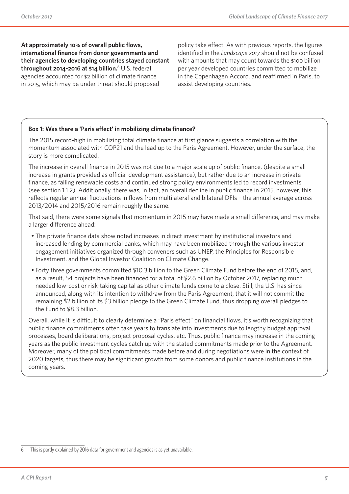**At approximately 10% of overall public flows, international finance from donor governments and their agencies to developing countries stayed constant throughout 2014-2016 at \$14 billion.**<sup>6</sup> U.S. federal agencies accounted for \$2 billion of climate finance in 2015, which may be under threat should proposed

policy take effect. As with previous reports, the figures identified in the *Landscape 2017* should not be confused with amounts that may count towards the \$100 billion per year developed countries committed to mobilize in the Copenhagen Accord, and reaffirmed in Paris, to assist developing countries.

### **Box 1: Was there a 'Paris effect' in mobilizing climate finance?**

The 2015 record-high in mobilizing total climate finance at first glance suggests a correlation with the momentum associated with COP21 and the lead up to the Paris Agreement. However, under the surface, the story is more complicated.

The increase in overall finance in 2015 was not due to a major scale up of public finance, (despite a small increase in grants provided as official development assistance), but rather due to an increase in private finance, as falling renewable costs and continued strong policy environments led to record investments (see section 1.1.2). Additionally, there was, in fact, an overall decline in public finance in 2015, however, this reflects regular annual fluctuations in flows from multilateral and bilateral DFIs – the annual average across 2013/2014 and 2015/2016 remain roughly the same.

That said, there were some signals that momentum in 2015 may have made a small difference, and may make a larger difference ahead:

- The private finance data show noted increases in direct investment by institutional investors and increased lending by commercial banks, which may have been mobilized through the various investor engagement initiatives organized through conveners such as UNEP, the Principles for Responsible Investment, and the Global Investor Coalition on Climate Change.
- Forty three governments committed \$10.3 billion to the Green Climate Fund before the end of 2015, and, as a result, 54 projects have been financed for a total of \$2.6 billion by October 2017, replacing much needed low-cost or risk-taking capital as other climate funds come to a close. Still, the U.S. has since announced, along with its intention to withdraw from the Paris Agreement, that it will not commit the remaining \$2 billion of its \$3 billion pledge to the Green Climate Fund, thus dropping overall pledges to the Fund to \$8.3 billion.

Overall, while it is difficult to clearly determine a "Paris effect" on financial flows, it's worth recognizing that public finance commitments often take years to translate into investments due to lengthy budget approval processes, board deliberations, project proposal cycles, etc. Thus, public finance may increase in the coming years as the public investment cycles catch up with the stated commitments made prior to the Agreement. Moreover, many of the political commitments made before and during negotiations were in the context of 2020 targets, thus there may be significant growth from some donors and public finance institutions in the coming years.

<sup>6</sup> This is partly explained by 2016 data for government and agencies is as yet unavailable.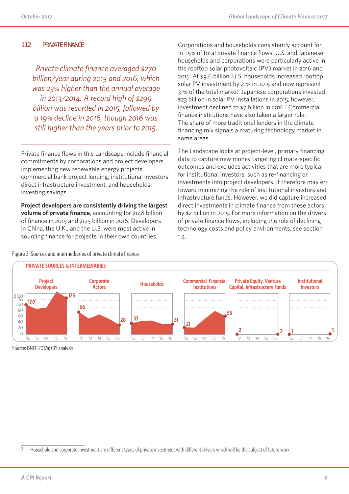### **1.1.2 PRIVATE FINANCE**

*Private climate finance averaged \$270 billion/year during 2015 and 2016, which was 23% higher than the annual average in 2013/2014. A record high of \$299 billion was recorded in 2015, followed by a 19% decline in 2016, though 2016 was still higher than the years prior to 2015.* 

Private finance flows in this Landscape include financial commitments by corporations and project developers implementing new renewable energy projects, commercial bank project lending, institutional investors' direct infrastructure investment, and households investing savings.

**Project developers are consistently driving the largest volume of private finance**, accounting for \$148 billion of finance in 2015 and \$125 billion in 2016. Developers in China, the U.K., and the U.S. were most active in sourcing finance for projects in their own countries.

Figure 3: Sources and intermediaries of private climate finance

Corporations and households consistently account for 10-15% of total private finance flows. U.S. and Japanese households and corporations were particularly active in the rooftop solar photovoltaic (PV) market in 2016 and 2015. At \$9.6 billion, U.S. households increased rooftop solar PV investment by 21% in 2015 and now represent 31% of the total market. Japanese corporations invested \$23 billion in solar PV installations in 2015, however, investment declined to \$7 billion in 2016.7 Commercial finance institutions have also taken a larger role. The share of more traditional lenders in the climate financing mix signals a maturing technology market in some areas

The Landscape looks at project-level, primary financing data to capture new money targeting climate-specific outcomes and excludes activities that are more typical for institutional investors, such as re-financing or investments into project developers. It therefore may err toward minimizing the role of institutional investors and infrastructure funds. However, we did capture increased direct investments in climate finance from these actors by \$2 billion in 2015. For more information on the drivers of private finance flows, including the role of declining technology costs and policy environments, see section 1.4.



Source: BNEF 2017a; CPI analysis

<sup>7</sup> Household and corporate investment are different types of private investment with different drivers which will be the subject of future work.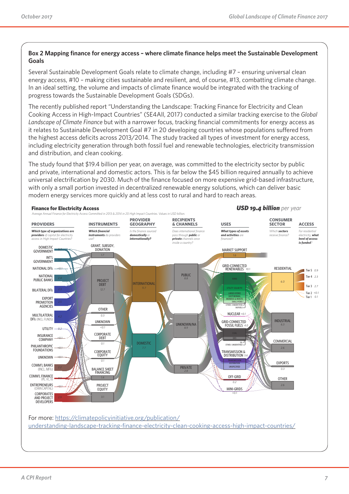### **Box 2 Mapping finance for energy access – where climate finance helps meet the Sustainable Development Goals**

Several Sustainable Development Goals relate to climate change, including #7 – ensuring universal clean energy access, #10 – making cities sustainable and resilient, and, of course, #13, combatting climate change. In an ideal setting, the volume and impacts of climate finance would be integrated with the tracking of progress towards the Sustainable Development Goals (SDGs).

The recently published report "Understanding the Landscape: Tracking Finance for Electricity and Clean Cooking Access in High-Impact Countries" (SE4All, 2017) conducted a similar tracking exercise to the *Global Landscape of Climate Finance* but with a narrower focus, tracking financial commitments for energy access as it relates to Sustainable Development Goal #7 in 20 developing countries whose populations suffered from the highest access deficits across 2013/2014. The study tracked all types of investment for energy access, including electricity generation through both fossil fuel and renewable technologies, electricity transmission and distribution, and clean cooking.

The study found that \$19.4 billion per year, on average, was committed to the electricity sector by public and private, international and domestic actors. This is far below the \$45 billion required annually to achieve universal electrification by 2030. Much of the finance focused on more expensive grid-based infrastructure, with only a small portion invested in decentralized renewable energy solutions, which can deliver basic modern energy services more quickly and at less cost to rural and hard to reach areas.

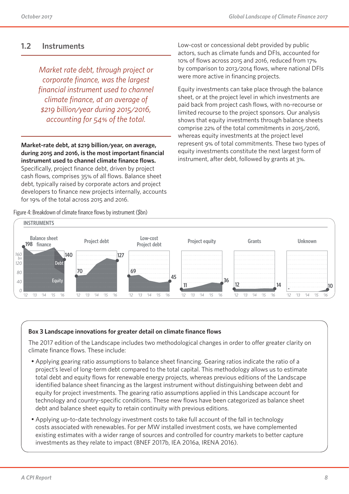### **1.2 Instruments**

*Market rate debt, through project or corporate finance, was the largest financial instrument used to channel climate finance, at an average of \$219 billion/year during 2015/2016, accounting for 54% of the total.* 

**Market-rate debt, at \$219 billion/year, on average, during 2015 and 2016, is the most important financial instrument used to channel climate finance flows.** Specifically, project finance debt, driven by project cash flows, comprises 35% of all flows. Balance sheet

debt, typically raised by corporate actors and project developers to finance new projects internally, accounts for 19% of the total across 2015 and 2016.

Figure 4: Breakdown of climate finance flows by instrument (\$bn)

Low-cost or concessional debt provided by public actors, such as climate funds and DFIs, accounted for 10% of flows across 2015 and 2016, reduced from 17% by comparison to 2013/2014 flows, where national DFIs were more active in financing projects.

Equity investments can take place through the balance sheet, or at the project level in which investments are paid back from project cash flows, with no-recourse or limited recourse to the project sponsors. Our analysis shows that equity investments through balance sheets comprise 22% of the total commitments in 2015/2016, whereas equity investments at the project level represent 9% of total commitments. These two types of equity investments constitute the next largest form of instrument, after debt, followed by grants at 3%.



### **Box 3 Landscape innovations for greater detail on climate finance flows**

The 2017 edition of the Landscape includes two methodological changes in order to offer greater clarity on climate finance flows. These include:

- Applying gearing ratio assumptions to balance sheet financing. Gearing ratios indicate the ratio of a project's level of long-term debt compared to the total capital. This methodology allows us to estimate total debt and equity flows for renewable energy projects, whereas previous editions of the Landscape identified balance sheet financing as the largest instrument without distinguishing between debt and equity for project investments. The gearing ratio assumptions applied in this Landscape account for technology and country-specific conditions. These new flows have been categorized as balance sheet debt and balance sheet equity to retain continuity with previous editions.
- Applying up-to-date technology investment costs to take full account of the fall in technology costs associated with renewables. For per MW installed investment costs, we have complemented existing estimates with a wider range of sources and controlled for country markets to better capture investments as they relate to impact (BNEF 2017b, IEA 2016a, IRENA 2016).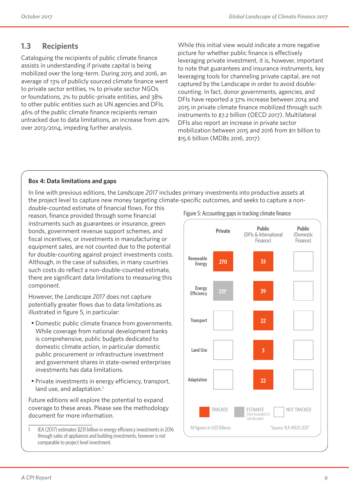### **1.3 Recipients**

Cataloguing the recipients of public climate finance assists in understanding if private capital is being mobilized over the long-term. During 2015 and 2016, an average of 13% of publicly sourced climate finance went to private sector entities, 1% to private sector NGOs or foundations, 2% to public-private entities, and 38% to other public entities such as UN agencies and DFIs. 46% of the public climate finance recipients remain untracked due to data limitations, an increase from 40% over 2013/2014, impeding further analysis.

While this initial view would indicate a more negative picture for whether public finance is effectively leveraging private investment, it is, however, important to note that guarantees and insurance instruments, key leveraging tools for channeling private capital, are not captured by the Landscape in order to avoid doublecounting. In fact, donor governments, agencies, and DFIs have reported a 37% increase between 2014 and 2015 in private climate finance mobilized through such instruments to \$7.2 billion (OECD 2017). Multilateral DFIs also report an increase in private sector mobilization between 2015 and 2016 from \$11 billion to \$15.6 billion (MDBs 2016, 2017).

### **Box 4: Data limitations and gaps**

In line with previous editions, the *Landscape 2017* includes primary investments into productive assets at the project level to capture new money targeting climate-specific outcomes, and seeks to capture a non-

double-counted estimate of financial flows. For this reason, finance provided through some financial instruments such as guarantees or insurance, green bonds, government revenue support schemes, and fiscal incentives, or investments in manufacturing or equipment sales, are not counted due to the potential for double-counting against project investments costs. Although, in the case of subsidies, in many countries such costs do reflect a non-double-counted estimate, there are significant data limitations to measuring this component.

However, the *Landscape 2017* does not capture potentially greater flows due to data limitations as illustrated in figure 5, in particular:

- Domestic public climate finance from governments. While coverage from national development banks is comprehensive, public budgets dedicated to domestic climate action, in particular domestic public procurement or infrastructure investment and government shares in state-owned enterprises investments has data limitations.
- Private investments in energy efficiency, transport, land use, and adaptation.<sup>1</sup>

Future editions will explore the potential to expand coverage to these areas. Please see the methodology document for more information.

Figure 5: Accounting gaps in tracking climate finance



<sup>1</sup> IEA (2017) estimates \$231 billion in energy efficiency investments in 2016 through sales of appliances and building investments, however is not comparable to project level investment.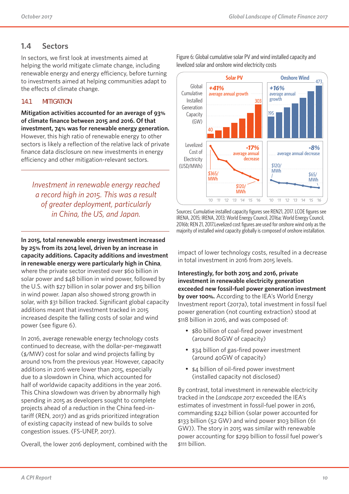### **1.4 Sectors**

In sectors, we first look at investments aimed at helping the world mitigate climate change, including renewable energy and energy efficiency, before turning to investments aimed at helping communities adapt to the effects of climate change.

### **1.4.1 MITIGATION**

**Mitigation activities accounted for an average of 93% of climate finance between 2015 and 2016. Of that investment, 74% was for renewable energy generation.** However, this high ratio of renewable energy to other sectors is likely a reflection of the relative lack of private finance data disclosure on new investments in energy efficiency and other mitigation-relevant sectors.

*Investment in renewable energy reached a record high in 2015. This was a result of greater deployment, particularly in China, the US, and Japan.*

**In 2015, total renewable energy investment increased by 25% from its 2014 level, driven by an increase in capacity additions. Capacity additions and investment in renewable energy were particularly high in China**, where the private sector invested over \$60 billion in solar power and \$48 billion in wind power, followed by the U.S. with \$27 billion in solar power and \$15 billion in wind power. Japan also showed strong growth in solar, with \$31 billion tracked. Significant global capacity additions meant that investment tracked in 2015 increased despite the falling costs of solar and wind power (see figure 6).

In 2016, average renewable energy technology costs continued to decrease, with the dollar-per-megawatt (\$/MW) cost for solar and wind projects falling by around 10% from the previous year. However, capacity additions in 2016 were lower than 2015, especially due to a slowdown in China, which accounted for half of worldwide capacity additions in the year 2016. This China slowdown was driven by abnormally high spending in 2015 as developers sought to complete projects ahead of a reduction in the China feed-intariff (REN, 2017) and as grids prioritized integration of existing capacity instead of new builds to solve congestion issues. (FS-UNEP, 2017).

Overall, the lower 2016 deployment, combined with the



Figure 6: Global cumulative solar PV and wind installed capacity and levelized solar and onshore wind electricity costs

Sources: Cumulative installed capacity figures see REN21, 2017. LCOE figures see IRENA, 2015; IRENA, 2013; World Energy Council, 2016a; World Energy Council, 2016b; REN 21, 2017.Levelized cost figures are used for onshore wind only as the majority of installed wind capacity globally is composed of onshore installation.

impact of lower technology costs, resulted in a decrease in total investment in 2016 from 2015 levels.

**Interestingly, for both 2015 and 2016, private investment in renewable electricity generation exceeded new fossil-fuel power generation investment by over 100%.** According to the IEA's World Energy Investment report (2017a), total investment in fossil fuel power generation (not counting extraction) stood at \$118 billion in 2016, and was composed of:

- \$80 billion of coal-fired power investment (around 80GW of capacity)
- \$34 billion of gas-fired power investment (around 40GW of capacity)
- \$4 billion of oil-fired power investment (installed capacity not disclosed)

By contrast, total investment in renewable electricity tracked in the *Landscape 2017* exceeded the IEA's estimates of investment in fossil-fuel power in 2016, commanding \$242 billion (solar power accounted for \$133 billion (52 GW) and wind power \$103 billion (61 GW)). The story in 2015 was similar with renewable power accounting for \$299 billion to fossil fuel power's \$111 billion.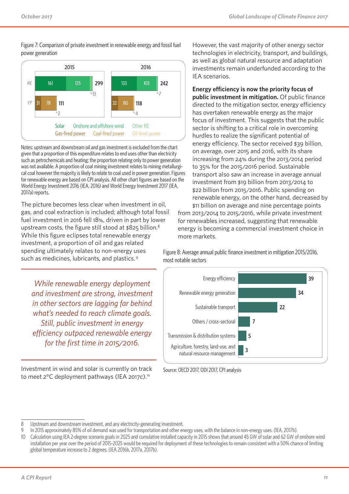Figure 7: Comparison of private investment in renewable energy and fossil fuel power generation



Notes: upstream and downstream oil and gas investment is excluded from the chart given that a proportion of this expenditure relates to end uses other than electricity such as petrochemicals and heating; the proportion relating only to power generation was not available. A proportion of coal mining investment relates to mining metallurgical coal however the majority is likely to relate to coal used in power generation. Figures for renewable energy are based on CPI analysis. All other chart figures are based on the World Energy Investment 2016 (IEA, 2016) and World Energy Investment 2017 (IEA, 2017a) reports.

The picture becomes less clear when investment in oil, gas, and coal extraction is included; although total fossil fuel investment in 2016 fell 18%, driven in part by lower upstream costs, the figure still stood at \$825 billion.<sup>8</sup> While this figure eclipses total renewable energy investment, a proportion of oil and gas related spending ultimately relates to non-energy uses such as medicines, lubricants, and plastics. <sup>9</sup>

*While renewable energy deployment and investment are strong, investment in other sectors are lagging far behind what's needed to reach climate goals. Still, public investment in energy efficiency outpaced renewable energy for the first time in 2015/2016.*

Investment in wind and solar is currently on track to meet 2°C deployment pathways (IEA 2017c).10

However, the vast majority of other energy sector technologies in electricity, transport, and buildings, as well as global natural resource and adaptation investments remain underfunded according to the IEA scenarios.

**Energy efficiency is now the priority focus of public investment in mitigation.** Of public finance directed to the mitigation sector, energy efficiency has overtaken renewable energy as the major focus of investment. This suggests that the public sector is shifting to a critical role in overcoming hurdles to realize the significant potential of energy efficiency. The sector received \$39 billion, on average, over 2015 and 2016, with its share increasing from 24% during the 2013/2014 period to 35% for the 2015/2016 period. Sustainable transport also saw an increase in average annual investment from \$19 billion from 2013/2014 to \$22 billion from 2015/2016. Public spending on renewable energy, on the other hand, decreased by \$11 billion on average and nine percentage points

from 2013/2014 to 2015/2016, while private investment for renewables increased, suggesting that renewable energy is becoming a commercial investment choice in more markets.

Figure 8: Average annual public finance investment in mitigation 2015/2016, most notable sectors



Source: OECD 2017, ODI 2017, CPI analysis

<sup>8</sup> Upstream and downstream investment, and any electricity-generating investment.

<sup>9</sup> In 2015 approximately 85% of oil demand was used for transportation and other energy uses, with the balance in non-energy uses. (IEA, 2017b).

<sup>10</sup> Calculation using IEA 2-degree scenario goals in 2025 and cumulative installed capacity in 2015 shows that around 45 GW of solar and 62 GW of onshore wind installation per year over the period of 2015-2025 would be required for deployment of these technologies to remain consistent with a 50% chance of limiting global temperature increase to 2 degrees. (IEA 2016b, 2017a, 2017b).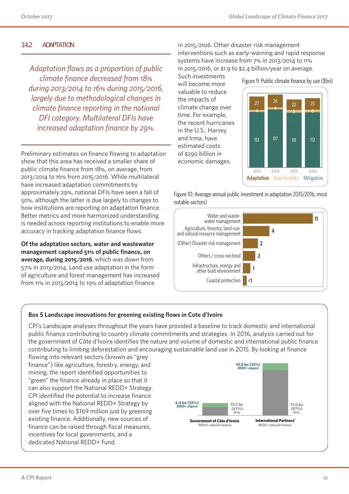### **1.4.2 ADAPTATION**

*Adaptation flows as a proportion of public climate finance decreased from 18% during 2013/2014 to 16% during 2015/2016, largely due to methodological changes in climate finance reporting in the national DFI category. Multilateral DFIs have increased adaptation finance by 29%.*

Preliminary estimates on finance flowing to adaptation show that this area has received a smaller share of public climate finance from 18%, on average, from 2013/2014 to 16% from 2015/2016. While multilateral have increased adaptation commitments by approximately 29%, national DFIs have seen a fall of 50%, although the latter is due largely to changes to how institutions are reporting on adaptation finance. Better metrics and more harmonized understanding External method and more narrowing and creationaling accuracy in tracking adaptation finance flows.

**Of the adaptation sectors, water and wastewater management captured 51% of public finance, on**  average, during 2015/2016, which was down from 57% in 2013/2014. Land use adaptation in the form of agriculture and forest management has increased from 11% in 2013/2014 to 19% of adaptation finance

in 2015/2106. Other disaster risk management interventions such as early-warning and rapid response systems have increase from 7% in 2013/2014 to 11% in 2015/2016, or \$1.9 to \$2.4 billion/year on average.

Such investments will become more valuable to reduce the impacts of climate change over time. For example, the recent hurricanes in the U.S., Harvey and Irma, have estimated costs of \$290 billion in economic damages.



Figure 10: Average annual public investment in adaptation 2015/2016, most notable sectors)



### **Box 5 Landscape innovations for greening existing flows in Cote d'Ivoire**

CPI's Landscape analyses throughout the years have provided a baseline to track domestic and international public finance contributing to country climate commitments and strategies. In 2016, analysis carried out for the government of Côte d'Ivoire identifies the nature and volume of domestic and international public finance contributing to limiting deforestation and encouraging sustainable land use in 2015. By looking at finance

flowing into relevant sectors (known as "grey finance") like agriculture, forestry, energy, and mining, the report identified opportunities to "green" the finance already in place so that it can also support the National REDD+ Strategy. CPI identified the potential to increase finance aligned with the National REDD+ Strategy by over five times to \$169 million just by greening existing finance. Additionally, new sources of finance can be raised through fiscal measures, incentives for local governments, and a dedicated National REDD+ Fund.

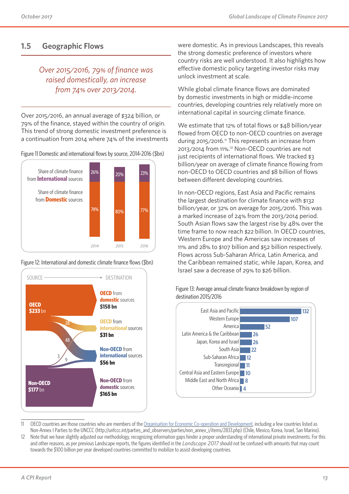### **1.5 Geographic Flows**

### *Over 2015/2016, 79% of finance was raised domestically, an increase from 74% over 2013/2014.*

Over 2015/2016, an annual average of \$324 billion, or 79% of the finance, stayed within the country of origin. This trend of strong domestic investment preference is a continuation from 2014 where 74% of the investments

Figure 11 Domestic and international flows by source, 2014-2016 (\$bn)







were domestic. As in previous Landscapes, this reveals the strong domestic preference of investors where country risks are well understood. It also highlights how effective domestic policy targeting investor risks may unlock investment at scale.

While global climate finance flows are dominated by domestic investments in high or middle-income countries, developing countries rely relatively more on international capital in sourcing climate finance.

We estimate that 12% of total flows or \$48 billion/year flowed from OECD to non-OECD countries on average during 2015/2016.11 This represents an increase from 2013/2014 from 11%.12 Non-OECD countries are not just recipients of international flows. We tracked \$3 billion/year on average of climate finance flowing from non-OECD to OECD countries and \$8 billion of flows between different developing countries.

In non-OECD regions, East Asia and Pacific remains the largest destination for climate finance with \$132 billion/year, or 32% on average for 2015/2016. This was a marked increase of 24% from the 2013/2014 period. South Asian flows saw the largest rise by 48% over the time frame to now reach \$22 billion. In OECD countries, Western Europe and the Americas saw increases of 11% and 28% to \$107 billion and \$52 billion respectively. Flows across Sub-Saharan Africa, Latin America, and the Caribbean remained static, while Japan, Korea, and Israel saw a decrease of 29% to \$26 billion.

Figure 13: Average annual climate finance breakdown by region of destination 2015/2016



- 11 OECD countries are those countries who are members of the Organisation for Economic Co-operation and Development, including a few countries listed as Non-Annex I Parties to the UNCCC (http://unfccc.int/parties\_and\_observers/parties/non\_annex\_i/items/2833.php) (Chile, Mexico, Korea, Israel, San Marino).
- 12 Note that we have slightly adjusted our methodology, recognizing information gaps hinder a proper understanding of international private investments. For this and other reasons, as per previous Landscape reports, the figures identified in the *Landscape 2017* should not be confused with amounts that may count towards the \$100 billion per year developed countries committed to mobilize to assist developing countries.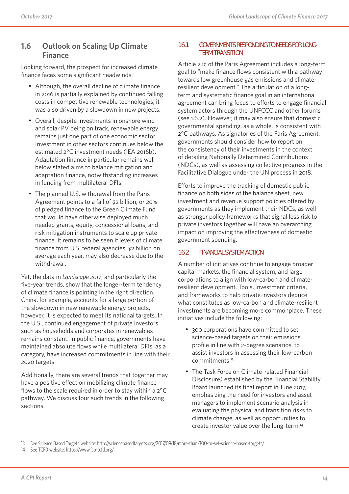### **1.6 Outlook on Scaling Up Climate Finance**

Looking forward, the prospect for increased climate finance faces some significant headwinds:

- Although, the overall decline of climate finance in 2016 is partially explained by continued falling costs in competitive renewable technologies, it was also driven by a slowdown in new projects.
- Overall, despite investments in onshore wind and solar PV being on track, renewable energy remains just one part of one economic sector. Investment in other sectors continues below the estimated 2°C investment needs (IEA 2016b). Adaptation finance in particular remains well below stated aims to balance mitigation and adaptation finance, notwithstanding increases in funding from multilateral DFIs.
- The planned U.S. withdrawal from the Paris Agreement points to a fall of \$2 billion, or 20% of pledged finance to the Green Climate Fund that would have otherwise deployed much needed grants, equity, concessional loans, and risk mitigation instruments to scale up private finance. It remains to be seen if levels of climate finance from U.S. federal agencies, \$2 billion on average each year, may also decrease due to the withdrawal.

Yet, the data in *Landscape 2017*, and particularly the five-year trends, show that the longer-term tendency of climate finance is pointing in the right direction. China, for example, accounts for a large portion of the slowdown in new renewable energy projects, however, it is expected to meet its national targets. In the U.S., continued engagement of private investors such as households and corporates in renewables remains constant. In public finance, governments have maintained absolute flows while multilateral DFIs, as a category, have increased commitments in line with their 2020 targets.

Additionally, there are several trends that together may have a positive effect on mobilizing climate finance flows to the scale required in order to stay within a 2°C pathway. We discuss four such trends in the following sections.

### **1.6.1 GOVERNMENTS RESPONDING TO NEEDS FOR LONG-TERM TRANSITION**

Article 2.1c of the Paris Agreement includes a long-term goal to "make finance flows consistent with a pathway towards low greenhouse gas emissions and climateresilient development." The articulation of a longterm and systematic finance goal in an international agreement can bring focus to efforts to engage financial system actors through the UNFCCC and other forums (see 1.6.2). However, it may also ensure that domestic governmental spending, as a whole, is consistent with 2°C pathways. As signatories of the Paris Agreement, governments should consider how to report on the consistency of their investments in the context of detailing Nationally Determined Contributions (NDCs), as well as assessing collective progress in the Facilitative Dialogue under the UN process in 2018.

Efforts to improve the tracking of domestic public finance on both sides of the balance sheet, new investment and revenue support policies offered by governments as they implement their NDCs, as well as stronger policy frameworks that signal less risk to private investors together will have an overarching impact on improving the effectiveness of domestic government spending.

### **1.6.2 FINANCIAL SYSTEM ACTION**

A number of initiatives continue to engage broader capital markets, the financial system, and large corporations to align with low-carbon and climateresilient development. Tools, investment criteria, and frameworks to help private investors deduce what constitutes as low-carbon and climate-resilient investments are becoming more commonplace. These initiatives include the following:

- 300 corporations have committed to set science-based targets on their emissions profile in line with 2-degree scenarios, to assist investors in assessing their low-carbon commitments.13
- The Task Force on Climate-related Financial Disclosure) established by the Financial Stability Board launched its final report in June 2017, emphasizing the need for investors and asset managers to implement scenario analysis in evaluating the physical and transition risks to climate change, as well as opportunities to create investor value over the long-term.14

14 See TCFD website: https://www.fsb-tcfd.org/

<sup>13</sup> See Science Based Targets website: http://sciencebasedtargets.org/2017/09/18/more-than-300-to-set-science-based-targets/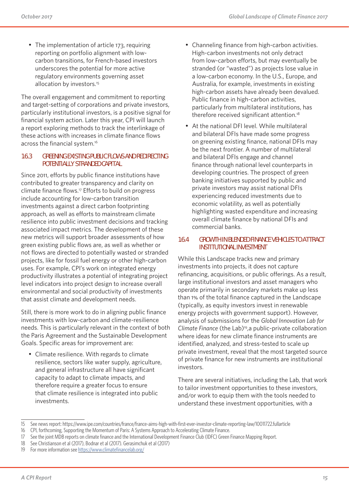• The implementation of article 173, requiring reporting on portfolio alignment with lowcarbon transitions, for French-based investors underscores the potential for more active regulatory environments governing asset allocation by investors.<sup>15</sup>

The overall engagement and commitment to reporting and target-setting of corporations and private investors, particularly institutional investors, is a positive signal for financial system action. Later this year, CPI will launch a report exploring methods to track the interlinkage of these actions with increases in climate finance flows across the financial system.16

### **1.6.3 GREENING EXISTING PUBLIC FLOWS AND REDIRECTING POTENTIALLY STRANDED CAPITAL**

Since 2011, efforts by public finance institutions have contributed to greater transparency and clarity on climate finance flows.17 Efforts to build on progress include accounting for low-carbon transition investments against a direct carbon footprinting approach, as well as efforts to mainstream climate resilience into public investment decisions and tracking associated impact metrics. The development of these new metrics will support broader assessments of how green existing public flows are, as well as whether or not flows are directed to potentially wasted or stranded projects, like for fossil fuel energy or other high-carbon uses. For example, CPI's work on integrated energy productivity illustrates a potential of integrating project level indicators into project design to increase overall environmental and social productivity of investments that assist climate and development needs.

Still, there is more work to do in aligning public finance investments with low-carbon and climate-resilience needs. This is particularly relevant in the context of both the Paris Agreement and the Sustainable Development Goals. Specific areas for improvement are:

• Climate resilience. With regards to climate resilience, sectors like water supply, agriculture, and general infrastructure all have significant capacity to adapt to climate impacts, and therefore require a greater focus to ensure that climate resilience is integrated into public investments.

- Channeling finance from high-carbon activities. High-carbon investments not only detract from low-carbon efforts, but may eventually be stranded (or "wasted") as projects lose value in a low-carbon economy. In the U.S., Europe, and Australia, for example, investments in existing high-carbon assets have already been devalued. Public finance in high-carbon activities, particularly from multilateral institutions, has therefore received significant attention.18
- At the national DFI level. While multilateral and bilateral DFIs have made some progress on greening existing finance, national DFIs may be the next frontier. A number of multilateral and bilateral DFIs engage and channel finance through national level counterparts in developing countries. The prospect of green banking initiatives supported by public and private investors may assist national DFIs experiencing reduced investments due to economic volatility, as well as potentially highlighting wasted expenditure and increasing overall climate finance by national DFIs and commercial banks.

### **1.6.4 GROWTH IN BLENDED FINANCE VEHICLES TO ATTRACT INSTITUTIONAL INVESTMENT**

While this Landscape tracks new and primary investments into projects, it does not capture refinancing, acquisitions, or public offerings. As a result, large institutional investors and asset managers who operate primarily in secondary markets make up less than 1% of the total finance captured in the Landscape (typically, as equity investors invest in renewable energy projects with government support). However, analysis of submissions for the *Global Innovation Lab for Climate Finance* (the Lab)19,a public-private collaboration where ideas for new climate finance instruments are identified, analyzed, and stress-tested to scale up private investment, reveal that the most targeted source of private finance for new instruments are institutional investors.

There are several initiatives, including the Lab, that work to tailor investment opportunities to these investors, and/or work to equip them with the tools needed to understand these investment opportunities, with a

18 See Christianson et al (2017), Bodnar et al (2017). Gerasimchuk et al (2017)

<sup>15</sup> See news report: https://www.ipe.com/countries/france/france-aims-high-with-first-ever-investor-climate-reporting-law/10011722.fullarticle

<sup>16</sup> CPI, forthcoming, Supporting the Momentum of Paris: A Systems Approach to Accelerating Climate Finance.

<sup>17</sup> See the joint MDB reports on climate finance and the International Development Finance Club (IDFC) Green Finance Mapping Report.

<sup>19</sup> For more information see https://www.climatefinancelab.org/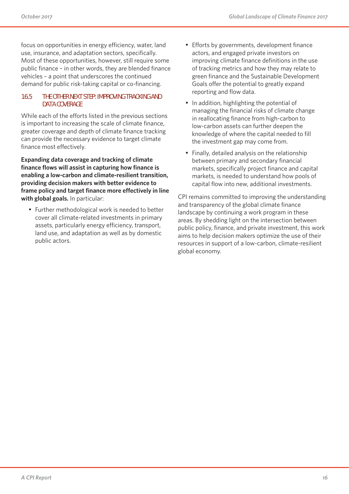focus on opportunities in energy efficiency, water, land use, insurance, and adaptation sectors, specifically. Most of these opportunities, however, still require some public finance – in other words, they are blended finance vehicles – a point that underscores the continued demand for public risk-taking capital or co-financing.

### **1.6.5 THE OTHER NEXT STEP: IMPROVING TRACKING AND DATA COVERAGE**

While each of the efforts listed in the previous sections is important to increasing the scale of climate finance, greater coverage and depth of climate finance tracking can provide the necessary evidence to target climate finance most effectively.

**Expanding data coverage and tracking of climate finance flows will assist in capturing how finance is enabling a low-carbon and climate-resilient transition, providing decision makers with better evidence to frame policy and target finance more effectively in line with global goals.** In particular:

• Further methodological work is needed to better cover all climate-related investments in primary assets, particularly energy efficiency, transport, land use, and adaptation as well as by domestic public actors.

- Efforts by governments, development finance actors, and engaged private investors on improving climate finance definitions in the use of tracking metrics and how they may relate to green finance and the Sustainable Development Goals offer the potential to greatly expand reporting and flow data.
- In addition, highlighting the potential of managing the financial risks of climate change in reallocating finance from high-carbon to low-carbon assets can further deepen the knowledge of where the capital needed to fill the investment gap may come from.
- Finally, detailed analysis on the relationship between primary and secondary financial markets, specifically project finance and capital markets, is needed to understand how pools of capital flow into new, additional investments.

CPI remains committed to improving the understanding and transparency of the global climate finance landscape by continuing a work program in these areas. By shedding light on the intersection between public policy, finance, and private investment, this work aims to help decision makers optimize the use of their resources in support of a low-carbon, climate-resilient global economy.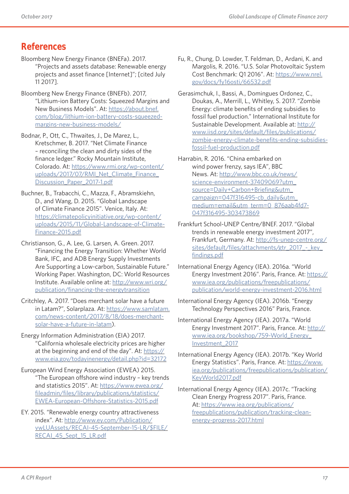### **References**

- Bloomberg New Energy Finance (BNEFa). 2017. "Projects and assets database: Renewable energy projects and asset finance [Internet]"; [cited July 11 2017].
- Bloomberg New Energy Finance (BNEFb). 2017, "Lithium-ion Battery Costs: Squeezed Margins and New Business Models". At: https://about.bnef. com/blog/lithium-ion-battery-costs-squeezedmargins-new-business-models/
- Bodnar, P., Ott, C., Thwaites, J., De Marez, L., Kretschmer, B. 2017. "Net Climate Finance – reconciling the clean and dirty sides of the finance ledger." Rocky Mountain Institute, Colorado. At: https://www.rmi.org/wp-content/ uploads/2017/07/RMI\_Net\_Climate\_Finance Discussion\_Paper\_2017-1.pdf
- Buchner, B., Trabacchi, C., Mazza, F., Abramskiehn, D., and Wang, D. 2015. "Global Landscape of Climate Finance 2015". Venice, Italy. At: https://climatepolicyinitiative.org/wp-content/ uploads/2015/11/Global-Landscape-of-Climate-Finance-2015.pdf
- Christianson, G., A. Lee, G. Larsen, A. Green. 2017. "Financing the Energy Transition: Whether World Bank, IFC, and ADB Energy Supply Investments Are Supporting a Low-carbon, Sustainable Future." Working Paper. Washington, DC: World Resources Institute. Available online at: http://www.wri.org/ publication/financing-the-energytransition
- Critchley, A. 2017. "Does merchant solar have a future in Latam?", Solarplaza. At: https://www.samlatam. com/news-content/2017/8/18/does-merchantsolar-have-a-future-in-latam).
- Energy Information Administration (EIA) 2017. "California wholesale electricity prices are higher at the beginning and end of the day". At: https:// www.eia.gov/todayinenergy/detail.php?id=32172
- European Wind Energy Association (EWEA) 2015. "The European offshore wind industry – key trends and statistics 2015". At: https://www.ewea.org/ fileadmin/files/library/publications/statistics/ EWEA-European-Offshore-Statistics-2015.pdf
- EY. 2015. "Renewable energy country attractiveness index". At: http://www.ey.com/Publication/ vwLUAssets/RECAI-45-September-15-LR/\$FILE/ RECAI 45 Sept 15 LR.pdf
- Fu, R., Chung, D. Lowder, T. Feldman, D., Ardani, K. and Margolis, R. 2016. "U.S. Solar Photovoltaic System Cost Benchmark: Q1 2016". At: https://www.nrel. gov/docs/fy16osti/66532.pdf
- Gerasimchuk, I., Bassi, A., Domingues Ordonez, C., Doukas, A., Merrill, L., Whitley, S. 2017. "Zombie Energy: climate benefits of ending subsidies to fossil fuel production." International Institute for Sustainable Development. Available at: http:// www.iisd.org/sites/default/files/publications/ zombie-energy-climate-benefits-ending-subsidiesfossil-fuel-production.pdf
- Harrabin, R. 2016. "China embarked on wind power frenzy, says IEA", BBC News. At: http://www.bbc.co.uk/news/ science-environment-37409069?utm\_ source=Daily+Carbon+Briefing&utm\_ campaign=047f316495-cb\_daily&utm\_ medium=email&utm\_term=0\_876aab4fd7- 047f316495-303473869
- Frankfurt School-UNEP Centre/BNEF. 2017. "Global trends in renewable energy investment 2017", Frankfurt, Germany. At: http://fs-unep-centre.org/ sites/default/files/attachments/gtr\_2017\_-\_key\_ findings.pdf
- International Energy Agency (IEA). 2016a. "World Energy Investment 2016". Paris, France. At: https:// www.iea.org/publications/freepublications/ publication/world-energy-investment-2016.html
- International Energy Agency (IEA). 2016b. "Energy Technology Perspectives 2016" Paris, France.
- International Energy Agency (IEA). 2017a. "World Energy Investment 2017". Paris, France. At: http:// www.iea.org/bookshop/759-World\_Energy\_ Investment\_2017
- International Energy Agency (IEA). 2017b. "Key World Energy Statistics". Paris, France. At: https://www. iea.org/publications/freepublications/publication/ KeyWorld2017.pdf
- International Energy Agency (IEA). 2017c. "Tracking Clean Energy Progress 2017". Paris, France. At: https://www.iea.org/publications/ freepublications/publication/tracking-cleanenergy-progress-2017.html